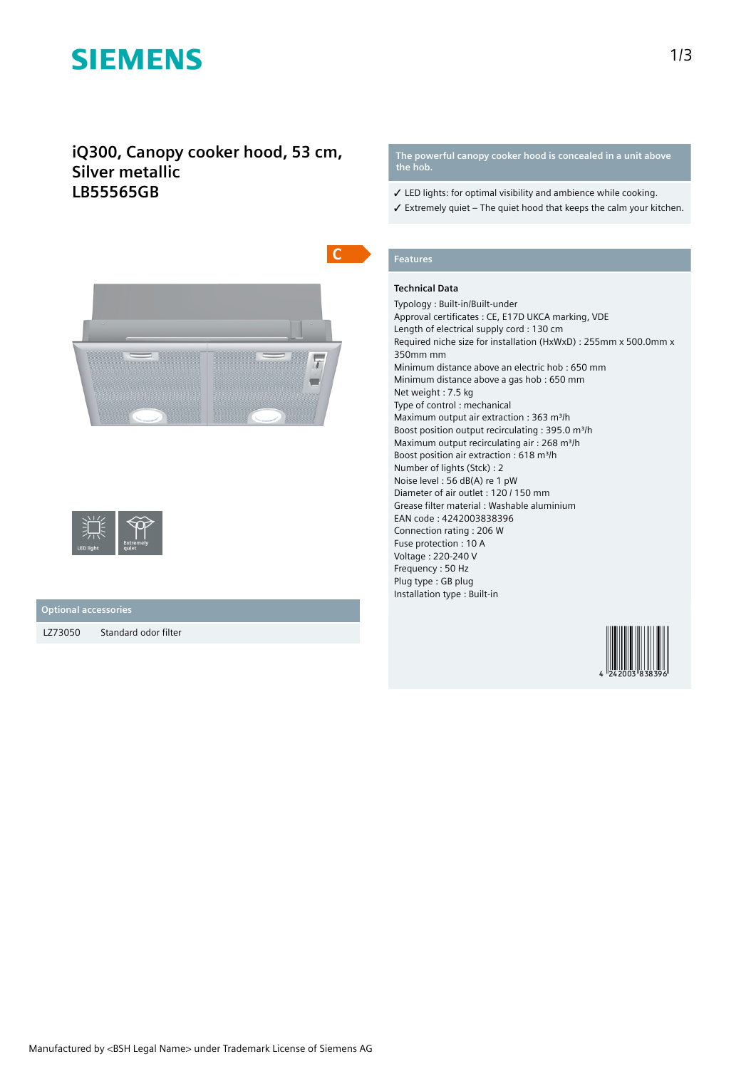# **SIEMENS**

## **iQ300, Canopy cooker hood, 53 cm, Silver metallic LB55565GB**





### **Optional accessories**

LZ73050 Standard odor filter

**The powerful canopy cooker hood is concealed in a unit above the hob.**

- ✓ LED lights: for optimal visibility and ambience while cooking.
- $\checkmark$  Extremely quiet The quiet hood that keeps the calm your kitchen.

## **Features**

### **Technical Data**

Typology : Built-in/Built-under Approval certificates : CE, E17D UKCA marking, VDE Length of electrical supply cord : 130 cm Required niche size for installation (HxWxD) : 255mm x 500.0mm x 350mm mm Minimum distance above an electric hob : 650 mm Minimum distance above a gas hob : 650 mm Net weight : 7.5 kg Type of control : mechanical Maximum output air extraction : 363 m<sup>3</sup>/h Boost position output recirculating : 395.0 m<sup>3</sup>/h Maximum output recirculating air : 268 m<sup>3</sup>/h Boost position air extraction : 618 m<sup>3</sup>/h Number of lights (Stck) : 2 Noise level : 56 dB(A) re 1 pW Diameter of air outlet : 120 / 150 mm Grease filter material : Washable aluminium EAN code : 4242003838396 Connection rating : 206 W Fuse protection : 10 A Voltage : 220-240 V Frequency : 50 Hz Plug type : GB plug Installation type : Built-in

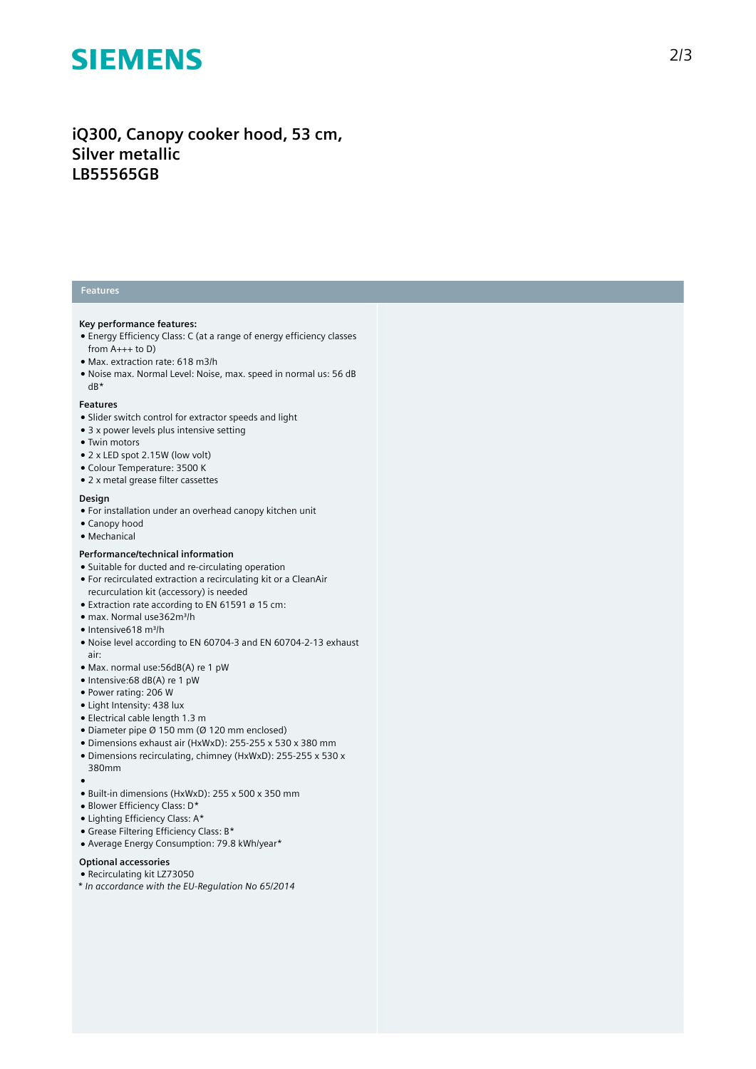# **SIEMENS**

# iQ300, Canopy cooker hood, 53 cm, **Silver metallic LB55565GB**

### **Features**

#### **Key** performance features:

- Energy Efficiency Class: C (at a range of energy efficiency classes from A+++ to D)
- Max. extraction rate: 618 m3/h
- Noise max. Normal Level: Noise, max. speed in normal us: 56 dB dB\*

#### **Features**

- Slider switch control for extractor speeds and light
- 3 x power levels plus intensive setting
- Twin motors
- $\bullet$  2 x LED spot 2.15W (low volt)
- Colour Temperature: 3500 K
- 2 x metal grease filter cassettes

#### **Design**

- For installation under an overhead canopy kitchen unit
- Canopy hood
- Mechanical

#### Performance/technical information

- Suitable for ducted and re-circulating operation
- For recirculated extraction a recirculating kit or a CleanAir recurculation kit (accessory) is needed
- $\bullet$  Extraction rate according to EN 61591 ø 15 cm: ● max. Normal use362m³/h
- 
- Intensive618 m³/h
- Noise level according to EN 60704-3 and EN 60704-2-13 exhaust a i r :
- Max. normal use: 56dB(A) re 1 pW
- Intensive:68 dB(A) re 1 pW
- Power rating: 206 W
- Light Intensity: 438 lux
- Electrical cable length 1.3 m
- $\bullet$  Diameter pipe Ø 150 mm (Ø 120 mm enclosed)
- Dimensions exhaust air (HxWxD): 255-255 x 530 x 380 mm
- Dimensions recirculating, chimney (HxWxD): 255-255 x 530 x 380mm
- ●<br>● Built-in dimensions (HxWxD): 255 x 500 x 350 mm
- Blower Efficiency Class: D\*
- Lighting Efficiency Class: A\*
- Grease Filtering Efficiency Class: B\*
- Average Energy Consumption: 79.8 kWh/year\*

### **Optional accessories**

- Recirculating kit LZ73050
- *\* In accordance with the EU-Regulation No 65/2014*